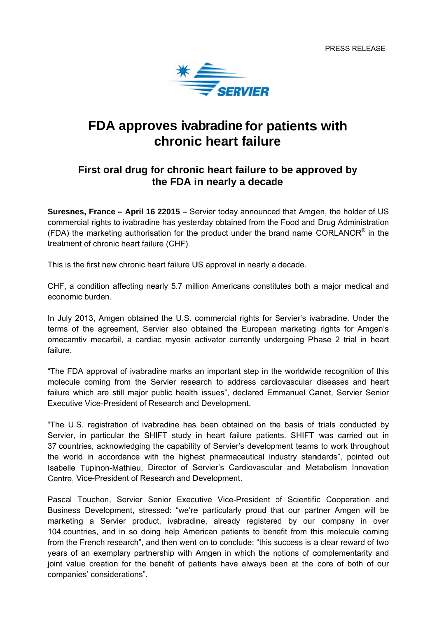

## FDA approves ivabradine for patients with **chronic heart failure**

## **First oral drug for chronic heart failure to be approved by the FDA in nearly a decade**

**Suresnes, France – April 16 22015 –** Servier today announced that Amgen, the holder of US commercial rights to ivabradine has yesterday obtained from the Food and Drug Administration (FDA) the marketing authorisation for the product under the brand name CORLANOR<sup>®</sup> in the treatment of chronic heart failure (CHF).

This is the first new chronic heart failure US approval in nearly a decade.

CHF, a condition affecting nearly 5.7 million Americans constitutes both a major medical and economic burden.

terms of the agreement, Servier also obtained the European marketing rights for Amgen's In July 2013, Amgen obtained the U.S. commercial rights for Servier's ivabradine. Under the omecamtiv mecarbil, a cardiac myosin activator currently undergoing Phase 2 trial in heart failure.

"The FDA approval of ivabradine marks an important step in the worldwide recognition of this molecule coming from the Servier research to address cardiovascular diseases and heart failure which are still major public health issues", declared Emmanuel Canet, Servier Senior Executive Vice-President of Research and Development.

"The U.S. registration of ivabradine has been obtained on the basis of trials conducted by Servier, in particular the SHIFT study in heart failure patients. SHIFT was carried out in 37 countries, acknowledging the capability of Servier's development teams to work throughout the world in accordance with the highest pharmaceutical industry standards", pointed out Isabelle Tupinon-Mathieu, Director of Servier's Cardiovascular and Metabolism Innovation Centre, Vice-President of Research and Development.

Pascal Touchon, Servier Senior Executive Vice-President of Scientific Cooperation and Business Development, stressed: "we're particularly proud that our partner Amgen will be marketing a Servier product, ivabradine, already registered by our company in over 104 countries, and in so doing help American patients to benefit from this molecule coming from the French research", and then went on to conclude: "this success is a clear reward of two years of an exemplary partnership with Amgen in which the notions of complementarity and joint value creation for the benefit of patients have always been at the core of both of our companies' considerations".